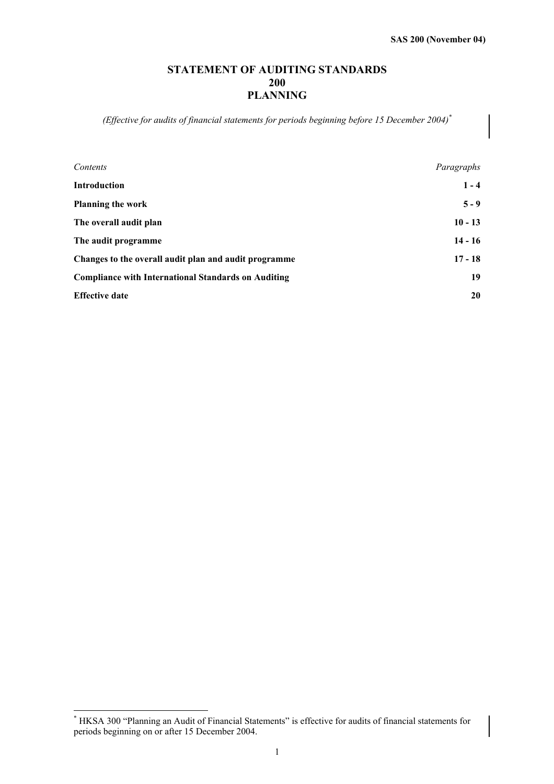# **STATEMENT OF AUDITING STANDARDS 200 PLANNING**

*(Effective for audits of financial statements for periods beginning before 15 December 2004)\**

| Contents                                                   | Paragraphs |
|------------------------------------------------------------|------------|
| <b>Introduction</b>                                        | $1 - 4$    |
| <b>Planning the work</b>                                   | $5 - 9$    |
| The overall audit plan                                     | $10 - 13$  |
| The audit programme                                        | $14 - 16$  |
| Changes to the overall audit plan and audit programme      | $17 - 18$  |
| <b>Compliance with International Standards on Auditing</b> | 19         |
| <b>Effective date</b>                                      | 20         |

 $\overline{a}$ 

<sup>\*</sup> HKSA 300 "Planning an Audit of Financial Statements" is effective for audits of financial statements for periods beginning on or after 15 December 2004.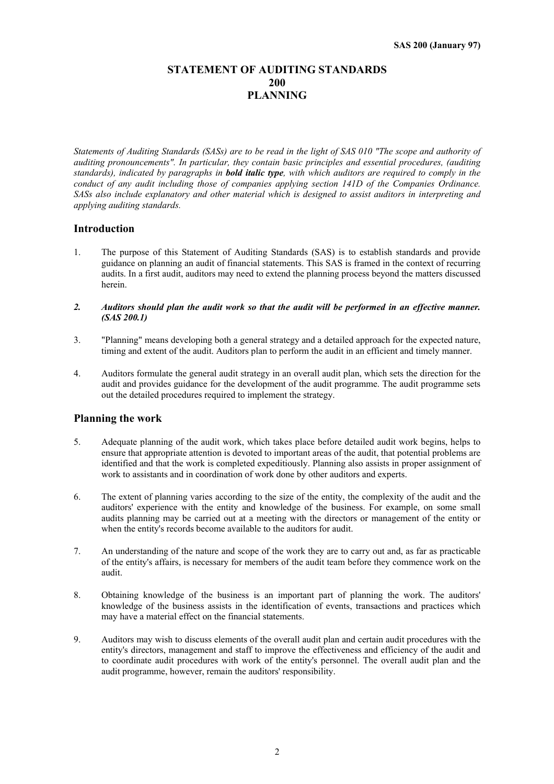# **STATEMENT OF AUDITING STANDARDS 200 PLANNING**

*Statements of Auditing Standards (SASs) are to be read in the light of SAS 010 "The scope and authority of auditing pronouncements". In particular, they contain basic principles and essential procedures, (auditing standards), indicated by paragraphs in bold italic type, with which auditors are required to comply in the conduct of any audit including those of companies applying section 141D of the Companies Ordinance. SASs also include explanatory and other material which is designed to assist auditors in interpreting and applying auditing standards.*

## **Introduction**

- 1. The purpose of this Statement of Auditing Standards (SAS) is to establish standards and provide guidance on planning an audit of financial statements. This SAS is framed in the context of recurring audits. In a first audit, auditors may need to extend the planning process beyond the matters discussed herein.
- *2. Auditors should plan the audit work so that the audit will be performed in an effective manner. (SAS 200.1)*
- 3. "Planning" means developing both a general strategy and a detailed approach for the expected nature, timing and extent of the audit. Auditors plan to perform the audit in an efficient and timely manner.
- 4. Auditors formulate the general audit strategy in an overall audit plan, which sets the direction for the audit and provides guidance for the development of the audit programme. The audit programme sets out the detailed procedures required to implement the strategy.

## **Planning the work**

- 5. Adequate planning of the audit work, which takes place before detailed audit work begins, helps to ensure that appropriate attention is devoted to important areas of the audit, that potential problems are identified and that the work is completed expeditiously. Planning also assists in proper assignment of work to assistants and in coordination of work done by other auditors and experts.
- 6. The extent of planning varies according to the size of the entity, the complexity of the audit and the auditors' experience with the entity and knowledge of the business. For example, on some small audits planning may be carried out at a meeting with the directors or management of the entity or when the entity's records become available to the auditors for audit.
- 7. An understanding of the nature and scope of the work they are to carry out and, as far as practicable of the entity's affairs, is necessary for members of the audit team before they commence work on the audit.
- 8. Obtaining knowledge of the business is an important part of planning the work. The auditors' knowledge of the business assists in the identification of events, transactions and practices which may have a material effect on the financial statements.
- 9. Auditors may wish to discuss elements of the overall audit plan and certain audit procedures with the entity's directors, management and staff to improve the effectiveness and efficiency of the audit and to coordinate audit procedures with work of the entity's personnel. The overall audit plan and the audit programme, however, remain the auditors' responsibility.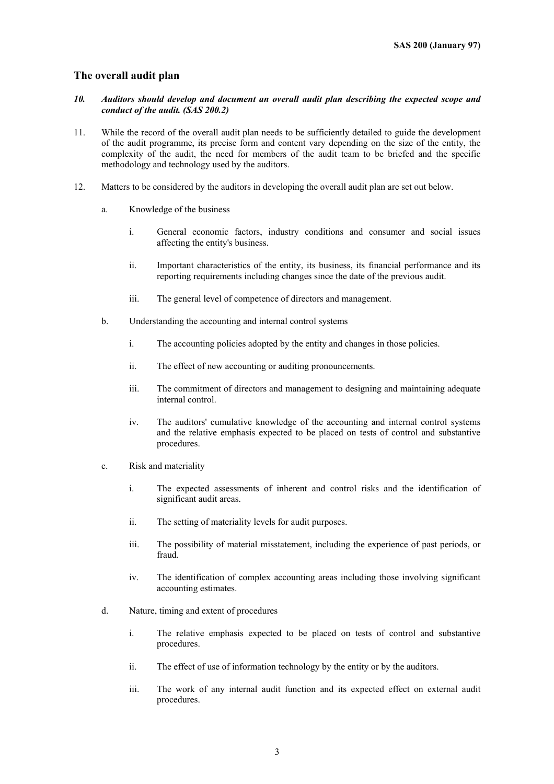## **The overall audit plan**

- *10. Auditors should develop and document an overall audit plan describing the expected scope and conduct of the audit. (SAS 200.2)*
- 11. While the record of the overall audit plan needs to be sufficiently detailed to guide the development of the audit programme, its precise form and content vary depending on the size of the entity, the complexity of the audit, the need for members of the audit team to be briefed and the specific methodology and technology used by the auditors.
- 12. Matters to be considered by the auditors in developing the overall audit plan are set out below.
	- a. Knowledge of the business
		- i. General economic factors, industry conditions and consumer and social issues affecting the entity's business.
		- ii. Important characteristics of the entity, its business, its financial performance and its reporting requirements including changes since the date of the previous audit.
		- iii. The general level of competence of directors and management.
	- b. Understanding the accounting and internal control systems
		- i. The accounting policies adopted by the entity and changes in those policies.
		- ii. The effect of new accounting or auditing pronouncements.
		- iii. The commitment of directors and management to designing and maintaining adequate internal control.
		- iv. The auditors' cumulative knowledge of the accounting and internal control systems and the relative emphasis expected to be placed on tests of control and substantive procedures.
	- c. Risk and materiality
		- i. The expected assessments of inherent and control risks and the identification of significant audit areas.
		- ii. The setting of materiality levels for audit purposes.
		- iii. The possibility of material misstatement, including the experience of past periods, or fraud.
		- iv. The identification of complex accounting areas including those involving significant accounting estimates.
	- d. Nature, timing and extent of procedures
		- i. The relative emphasis expected to be placed on tests of control and substantive procedures.
		- ii. The effect of use of information technology by the entity or by the auditors.
		- iii. The work of any internal audit function and its expected effect on external audit procedures.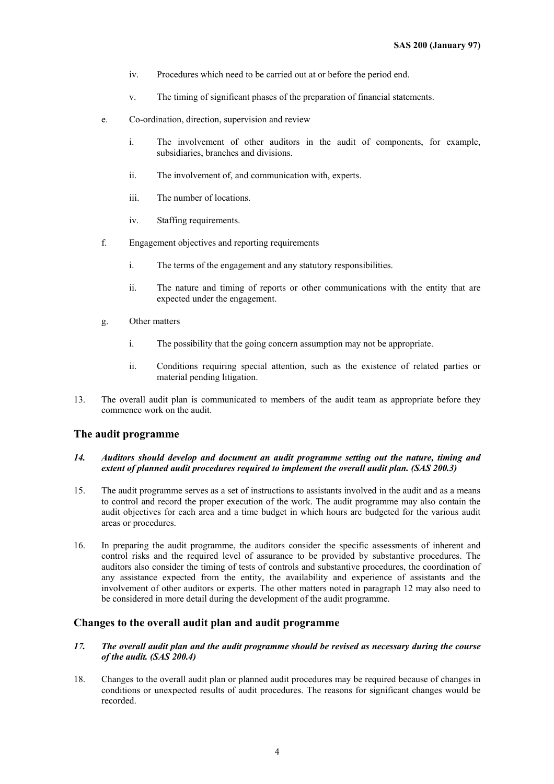- iv. Procedures which need to be carried out at or before the period end.
- v. The timing of significant phases of the preparation of financial statements.
- e. Co-ordination, direction, supervision and review
	- i. The involvement of other auditors in the audit of components, for example, subsidiaries, branches and divisions.
	- ii. The involvement of, and communication with, experts.
	- iii. The number of locations.
	- iv. Staffing requirements.
- f. Engagement objectives and reporting requirements
	- i. The terms of the engagement and any statutory responsibilities.
	- ii. The nature and timing of reports or other communications with the entity that are expected under the engagement.
- g. Other matters
	- i. The possibility that the going concern assumption may not be appropriate.
	- ii. Conditions requiring special attention, such as the existence of related parties or material pending litigation.
- 13. The overall audit plan is communicated to members of the audit team as appropriate before they commence work on the audit.

## **The audit programme**

#### *14. Auditors should develop and document an audit programme setting out the nature, timing and extent of planned audit procedures required to implement the overall audit plan. (SAS 200.3)*

- 15. The audit programme serves as a set of instructions to assistants involved in the audit and as a means to control and record the proper execution of the work. The audit programme may also contain the audit objectives for each area and a time budget in which hours are budgeted for the various audit areas or procedures.
- 16. In preparing the audit programme, the auditors consider the specific assessments of inherent and control risks and the required level of assurance to be provided by substantive procedures. The auditors also consider the timing of tests of controls and substantive procedures, the coordination of any assistance expected from the entity, the availability and experience of assistants and the involvement of other auditors or experts. The other matters noted in paragraph 12 may also need to be considered in more detail during the development of the audit programme.

### **Changes to the overall audit plan and audit programme**

#### *17. The overall audit plan and the audit programme should be revised as necessary during the course of the audit. (SAS 200.4)*

18. Changes to the overall audit plan or planned audit procedures may be required because of changes in conditions or unexpected results of audit procedures. The reasons for significant changes would be recorded.